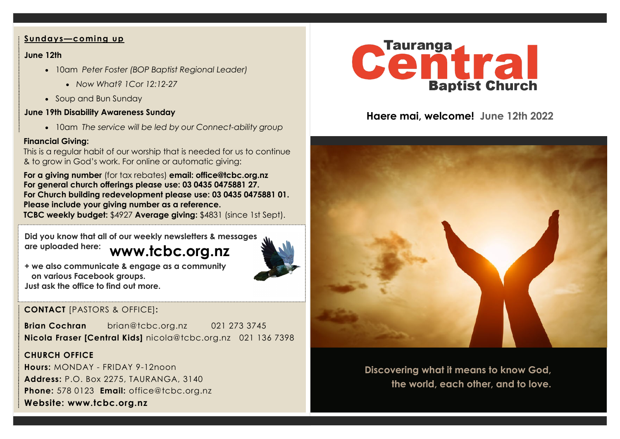#### **Sundays—coming up**

### **June 12th**

- 10am *Peter Foster (BOP Baptist Regional Leader)* 
	- *Now What? 1Cor 12:12-27*
- Soup and Bun Sunday

### **June 19th Disability Awareness Sunday**

• 10am *The service will be led by our Connect-ability group*

### **Financial Giving:**

This is a regular habit of our worship that is needed for us to continue & to grow in God's work. For online or automatic giving:

**For a giving number** (for tax rebates) **email: office@tcbc.org.nz For general church offerings please use: 03 0435 0475881 27. For Church building redevelopment please use: 03 0435 0475881 01. Please include your giving number as a reference. TCBC weekly budget:** \$4927 **Average giving:** \$4831 (since 1st Sept).

**www.tcbc.org.nz Did you know that all of our weekly newsletters & messages are uploaded here:** 



**+ we also communicate & engage as a community on various Facebook groups. Just ask the office to find out more.**

# **CONTACT** [PASTORS & OFFICE]**:**

**Brian Cochran** brian@tcbc.org.nz 021 273 3745 **Nicola Fraser [Central Kids]** nicola@tcbc.org.nz021 136 7398

## **CHURCH OFFICE**

**Hours:** MONDAY - FRIDAY 9-12noon **Address:** P.O. Box 2275, TAURANGA, 3140 **Phone:** 578 0123 **Email:** office@tcbc.org.nz **Website: www.tcbc.org.nz**



# **Haere mai, welcome! June 12th 2022**



**Discovering what it means to know God, the world, each other, and to love.**